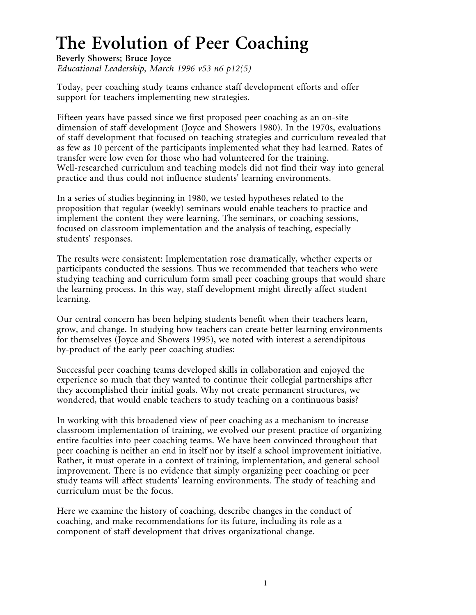# **The Evolution of Peer Coaching**

**Beverly Showers; Bruce Joyce** *Educational Leadership, March 1996 v53 n6 p12(5)*

Today, peer coaching study teams enhance staff development efforts and offer support for teachers implementing new strategies.

Fifteen years have passed since we first proposed peer coaching as an on-site dimension of staff development (Joyce and Showers 1980). In the 1970s, evaluations of staff development that focused on teaching strategies and curriculum revealed that as few as 10 percent of the participants implemented what they had learned. Rates of transfer were low even for those who had volunteered for the training. Well-researched curriculum and teaching models did not find their way into general practice and thus could not influence students' learning environments.

In a series of studies beginning in 1980, we tested hypotheses related to the proposition that regular (weekly) seminars would enable teachers to practice and implement the content they were learning. The seminars, or coaching sessions, focused on classroom implementation and the analysis of teaching, especially students' responses.

The results were consistent: Implementation rose dramatically, whether experts or participants conducted the sessions. Thus we recommended that teachers who were studying teaching and curriculum form small peer coaching groups that would share the learning process. In this way, staff development might directly affect student learning.

Our central concern has been helping students benefit when their teachers learn, grow, and change. In studying how teachers can create better learning environments for themselves (Joyce and Showers 1995), we noted with interest a serendipitous by-product of the early peer coaching studies:

Successful peer coaching teams developed skills in collaboration and enjoyed the experience so much that they wanted to continue their collegial partnerships after they accomplished their initial goals. Why not create permanent structures, we wondered, that would enable teachers to study teaching on a continuous basis?

In working with this broadened view of peer coaching as a mechanism to increase classroom implementation of training, we evolved our present practice of organizing entire faculties into peer coaching teams. We have been convinced throughout that peer coaching is neither an end in itself nor by itself a school improvement initiative. Rather, it must operate in a context of training, implementation, and general school improvement. There is no evidence that simply organizing peer coaching or peer study teams will affect students' learning environments. The study of teaching and curriculum must be the focus.

Here we examine the history of coaching, describe changes in the conduct of coaching, and make recommendations for its future, including its role as a component of staff development that drives organizational change.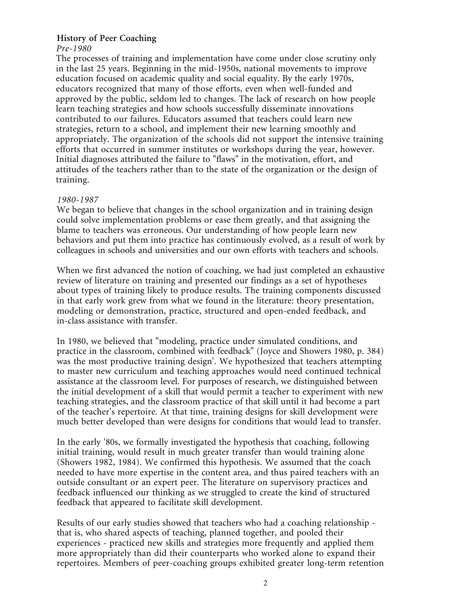# **History of Peer Coaching**

*Pre-1980* The processes of training and implementation have come under close scrutiny only in the last 25 years. Beginning in the mid-1950s, national movements to improve education focused on academic quality and social equality. By the early 1970s, educators recognized that many of those efforts, even when well-funded and approved by the public, seldom led to changes. The lack of research on how people learn teaching strategies and how schools successfully disseminate innovations contributed to our failures. Educators assumed that teachers could learn new strategies, return to a school, and implement their new learning smoothly and appropriately. The organization of the schools did not support the intensive training efforts that occurred in summer institutes or workshops during the year, however. Initial diagnoses attributed the failure to "flaws" in the motivation, effort, and attitudes of the teachers rather than to the state of the organization or the design of training.

#### *1980-1987*

We began to believe that changes in the school organization and in training design could solve implementation problems or ease them greatly, and that assigning the blame to teachers was erroneous. Our understanding of how people learn new behaviors and put them into practice has continuously evolved, as a result of work by colleagues in schools and universities and our own efforts with teachers and schools.

When we first advanced the notion of coaching, we had just completed an exhaustive review of literature on training and presented our findings as a set of hypotheses about types of training likely to produce results. The training components discussed in that early work grew from what we found in the literature: theory presentation, modeling or demonstration, practice, structured and open-ended feedback, and in-class assistance with transfer.

In 1980, we believed that "modeling, practice under simulated conditions, and practice in the classroom, combined with feedback" (Joyce and Showers 1980, p. 384) was the most productive training design'. We hypothesized that teachers attempting to master new curriculum and teaching approaches would need continued technical assistance at the classroom level. For purposes of research, we distinguished between the initial development of a skill that would permit a teacher to experiment with new teaching strategies, and the classroom practice of that skill until it had become a part of the teacher's repertoire. At that time, training designs for skill development were much better developed than were designs for conditions that would lead to transfer.

In the early '80s, we formally investigated the hypothesis that coaching, following initial training, would result in much greater transfer than would training alone (Showers 1982, 1984). We confirmed this hypothesis. We assumed that the coach needed to have more expertise in the content area, and thus paired teachers with an outside consultant or an expert peer. The literature on supervisory practices and feedback influenced our thinking as we struggled to create the kind of structured feedback that appeared to facilitate skill development.

Results of our early studies showed that teachers who had a coaching relationship that is, who shared aspects of teaching, planned together, and pooled their experiences - practiced new skills and strategies more frequently and applied them more appropriately than did their counterparts who worked alone to expand their repertoires. Members of peer-coaching groups exhibited greater long-term retention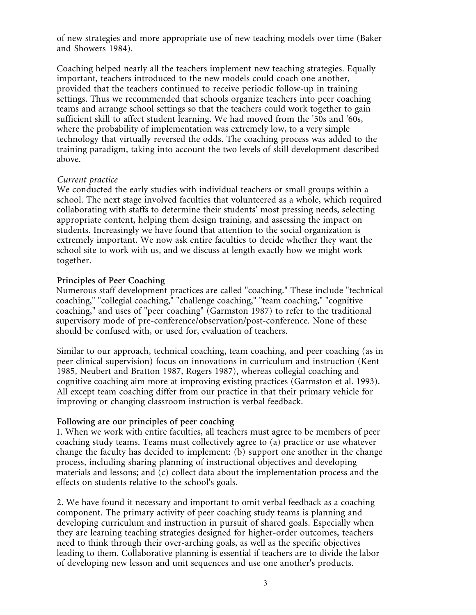of new strategies and more appropriate use of new teaching models over time (Baker and Showers 1984).

Coaching helped nearly all the teachers implement new teaching strategies. Equally important, teachers introduced to the new models could coach one another, provided that the teachers continued to receive periodic follow-up in training settings. Thus we recommended that schools organize teachers into peer coaching teams and arrange school settings so that the teachers could work together to gain sufficient skill to affect student learning. We had moved from the '50s and '60s, where the probability of implementation was extremely low, to a very simple technology that virtually reversed the odds. The coaching process was added to the training paradigm, taking into account the two levels of skill development described above.

## *Current practice*

We conducted the early studies with individual teachers or small groups within a school. The next stage involved faculties that volunteered as a whole, which required collaborating with staffs to determine their students' most pressing needs, selecting appropriate content, helping them design training, and assessing the impact on students. Increasingly we have found that attention to the social organization is extremely important. We now ask entire faculties to decide whether they want the school site to work with us, and we discuss at length exactly how we might work together.

#### **Principles of Peer Coaching**

Numerous staff development practices are called "coaching." These include "technical coaching," "collegial coaching," "challenge coaching," "team coaching," "cognitive coaching," and uses of "peer coaching" (Garmston 1987) to refer to the traditional supervisory mode of pre-conference/observation/post-conference. None of these should be confused with, or used for, evaluation of teachers.

Similar to our approach, technical coaching, team coaching, and peer coaching (as in peer clinical supervision) focus on innovations in curriculum and instruction (Kent 1985, Neubert and Bratton 1987, Rogers 1987), whereas collegial coaching and cognitive coaching aim more at improving existing practices (Garmston et al. 1993). All except team coaching differ from our practice in that their primary vehicle for improving or changing classroom instruction is verbal feedback.

## **Following are our principles of peer coaching**

1. When we work with entire faculties, all teachers must agree to be members of peer coaching study teams. Teams must collectively agree to (a) practice or use whatever change the faculty has decided to implement: (b) support one another in the change process, including sharing planning of instructional objectives and developing materials and lessons; and (c) collect data about the implementation process and the effects on students relative to the school's goals.

2. We have found it necessary and important to omit verbal feedback as a coaching component. The primary activity of peer coaching study teams is planning and developing curriculum and instruction in pursuit of shared goals. Especially when they are learning teaching strategies designed for higher-order outcomes, teachers need to think through their over-arching goals, as well as the specific objectives leading to them. Collaborative planning is essential if teachers are to divide the labor of developing new lesson and unit sequences and use one another's products.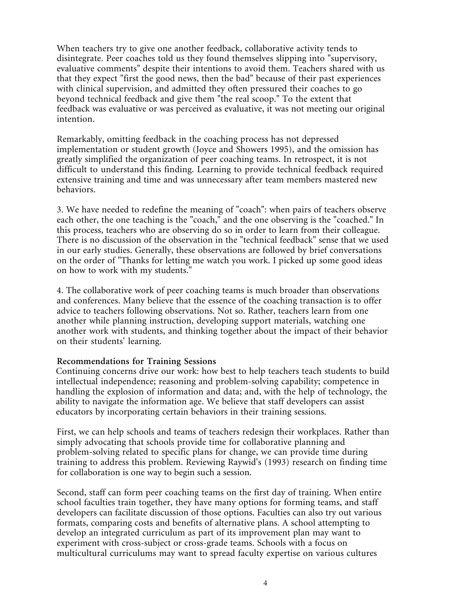When teachers try to give one another feedback, collaborative activity tends to disintegrate. Peer coaches told us they found themselves slipping into "supervisory, evaluative comments" despite their intentions to avoid them. Teachers shared with us that they expect "first the good news, then the bad" because of their past experiences with clinical supervision, and admitted they often pressured their coaches to go beyond technical feedback and give them "the real scoop." To the extent that feedback was evaluative or was perceived as evaluative, it was not meeting our original intention.

Remarkably, omitting feedback in the coaching process has not depressed implementation or student growth (Joyce and Showers 1995), and the omission has greatly simplified the organization of peer coaching teams. In retrospect, it is not difficult to understand this finding. Learning to provide technical feedback required extensive training and time and was unnecessary after team members mastered new behaviors.

3. We have needed to redefine the meaning of "coach": when pairs of teachers observe each other, the one teaching is the "coach," and the one observing is the "coached." In this process, teachers who are observing do so in order to learn from their colleague. There is no discussion of the observation in the "technical feedback" sense that we used in our early studies. Generally, these observations are followed by brief conversations on the order of "Thanks for letting me watch you work. I picked up some good ideas on how to work with my students."

4. The collaborative work of peer coaching teams is much broader than observations and conferences. Many believe that the essence of the coaching transaction is to offer advice to teachers following observations. Not so. Rather, teachers learn from one another while planning instruction, developing support materials, watching one another work with students, and thinking together about the impact of their behavior on their students' learning.

## **Recommendations for Training Sessions**

Continuing concerns drive our work: how best to help teachers teach students to build intellectual independence; reasoning and problem-solving capability; competence in handling the explosion of information and data; and, with the help of technology, the ability to navigate the information age. We believe that staff developers can assist educators by incorporating certain behaviors in their training sessions.

First, we can help schools and teams of teachers redesign their workplaces. Rather than simply advocating that schools provide time for collaborative planning and problem-solving related to specific plans for change, we can provide time during training to address this problem. Reviewing Raywid's (1993) research on finding time for collaboration is one way to begin such a session.

Second, staff can form peer coaching teams on the first day of training. When entire school faculties train together, they have many options for forming teams, and staff developers can facilitate discussion of those options. Faculties can also try out various formats, comparing costs and benefits of alternative plans. A school attempting to develop an integrated curriculum as part of its improvement plan may want to experiment with cross-subject or cross-grade teams. Schools with a focus on multicultural curriculums may want to spread faculty expertise on various cultures